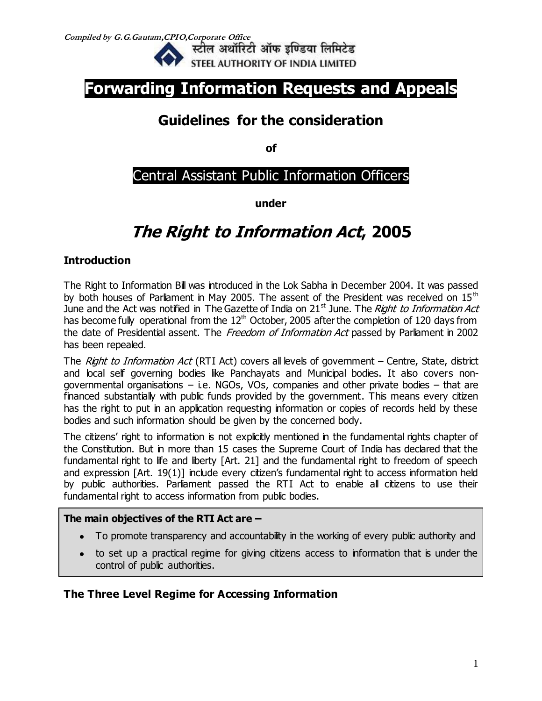

# **Forwarding Information Requests and Appeals**

# **Guidelines for the consideration**

**of**

# Central Assistant Public Information Officers

**under** 

# **The Right to Information Act, 2005**

# **Introduction**

The Right to Information Bill was introduced in the Lok Sabha in December 2004. It was passed by both houses of Parliament in May 2005. The assent of the President was received on  $15<sup>th</sup>$ June and the Act was notified in The Gazette of India on  $21<sup>st</sup>$  June. The Right to Information Act has become fully operational from the  $12<sup>th</sup>$  October, 2005 after the completion of 120 days from the date of Presidential assent. The Freedom of Information Act passed by Parliament in 2002 has been repealed.

The Right to Information Act (RTI Act) covers all levels of government – Centre, State, district and local self governing bodies like Panchayats and Municipal bodies. It also covers nongovernmental organisations  $-$  i.e. NGOs, VOs, companies and other private bodies  $-$  that are financed substantially with public funds provided by the government. This means every citizen has the right to put in an application requesting information or copies of records held by these bodies and such information should be given by the concerned body.

The citizens' right to information is not explicitly mentioned in the fundamental rights chapter of the Constitution. But in more than 15 cases the Supreme Court of India has declared that the fundamental right to life and liberty [Art. 21] and the fundamental right to freedom of speech and expression [Art. 19(1)] include every citizen's fundamental right to access information held by public authorities. Parliament passed the RTI Act to enable all citizens to use their fundamental right to access information from public bodies.

## **The main objectives of the RTI Act are –**

- To promote transparency and accountability in the working of every public authority and
- to set up a practical regime for giving citizens access to information that is under the control of public authorities.

# **The Three Level Regime for Accessing Information**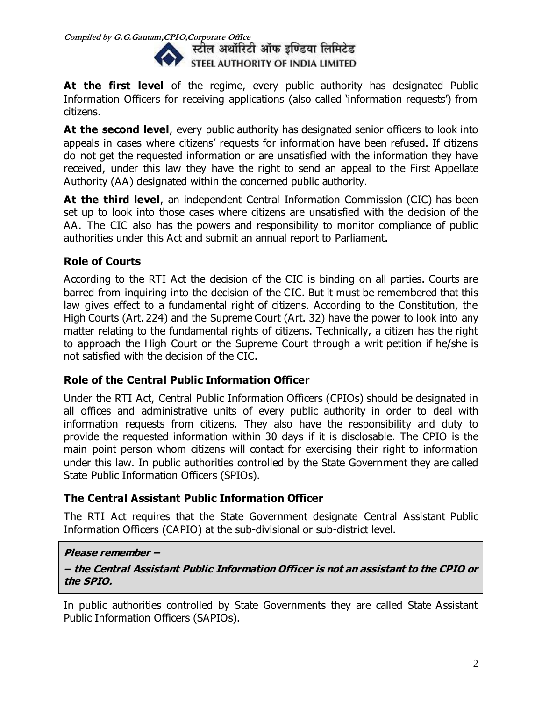

At the first level of the regime, every public authority has designated Public Information Officers for receiving applications (also called 'information requests') from citizens.

At the second level, every public authority has designated senior officers to look into appeals in cases where citizens' requests for information have been refused. If citizens do not get the requested information or are unsatisfied with the information they have received, under this law they have the right to send an appeal to the First Appellate Authority (AA) designated within the concerned public authority.

**At the third level**, an independent Central Information Commission (CIC) has been set up to look into those cases where citizens are unsatisfied with the decision of the AA. The CIC also has the powers and responsibility to monitor compliance of public authorities under this Act and submit an annual report to Parliament.

# **Role of Courts**

According to the RTI Act the decision of the CIC is binding on all parties. Courts are barred from inquiring into the decision of the CIC. But it must be remembered that this law gives effect to a fundamental right of citizens. According to the Constitution, the High Courts (Art. 224) and the Supreme Court (Art. 32) have the power to look into any matter relating to the fundamental rights of citizens. Technically, a citizen has the right to approach the High Court or the Supreme Court through a writ petition if he/she is not satisfied with the decision of the CIC.

## **Role of the Central Public Information Officer**

Under the RTI Act, Central Public Information Officers (CPIOs) should be designated in all offices and administrative units of every public authority in order to deal with information requests from citizens. They also have the responsibility and duty to provide the requested information within 30 days if it is disclosable. The CPIO is the main point person whom citizens will contact for exercising their right to information under this law. In public authorities controlled by the State Government they are called State Public Information Officers (SPIOs).

## **The Central Assistant Public Information Officer**

The RTI Act requires that the State Government designate Central Assistant Public Information Officers (CAPIO) at the sub-divisional or sub-district level.

### **Please remember –**

### **– the Central Assistant Public Information Officer is not an assistant to the CPIO or the SPIO.**

In public authorities controlled by State Governments they are called State Assistant Public Information Officers (SAPIOs).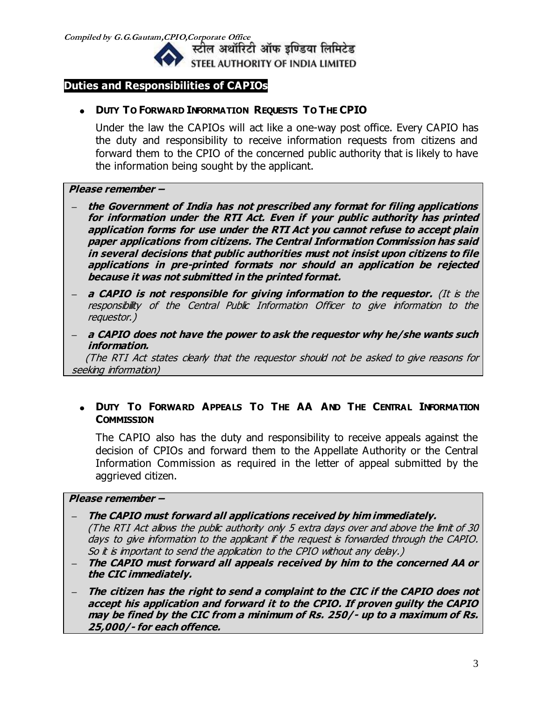

### **Duties and Responsibilities of CAPIOs**

### **DUTY TO FORWARD INFORMATION REQUESTS TO THE CPIO**

Under the law the CAPIOs will act like a one-way post office. Every CAPIO has the duty and responsibility to receive information requests from citizens and forward them to the CPIO of the concerned public authority that is likely to have the information being sought by the applicant.

### **Please remember –**

- **– the Government of India has not prescribed any format for filing applications for information under the RTI Act. Even if your public authority has printed application forms for use under the RTI Act you cannot refuse to accept plain paper applications from citizens. The Central Information Commission has said in several decisions that public authorities must not insist upon citizens to file applications in pre-printed formats nor should an application be rejected because it was not submitted in the printed format.**
- **– a CAPIO is not responsible for giving information to the requestor.** (It is the responsibility of the Central Public Information Officer to give information to the requestor.)
- **– a CAPIO does not have the power to ask the requestor why he/she wants such information.**

 (The RTI Act states clearly that the requestor should not be asked to give reasons for seeking information)

### **DUTY TO FORWARD APPEALS TO THE AA AND THE CENTRAL INFORMATION COMMISSION**

The CAPIO also has the duty and responsibility to receive appeals against the decision of CPIOs and forward them to the Appellate Authority or the Central Information Commission as required in the letter of appeal submitted by the aggrieved citizen.

#### **Please remember –**

- **– The CAPIO must forward all applications received by him immediately.** (The RTI Act allows the public authority only 5 extra days over and above the limit of 30 days to give information to the applicant if the request is forwarded through the CAPIO. So it is important to send the application to the CPIO without any delay.)
- **– The CAPIO must forward all appeals received by him to the concerned AA or the CIC immediately.**
- **– The citizen has the right to send a complaint to the CIC if the CAPIO does not accept his application and forward it to the CPIO. If proven guilty the CAPIO may be fined by the CIC from a minimum of Rs. 250/- up to a maximum of Rs. 25,000/- for each offence.**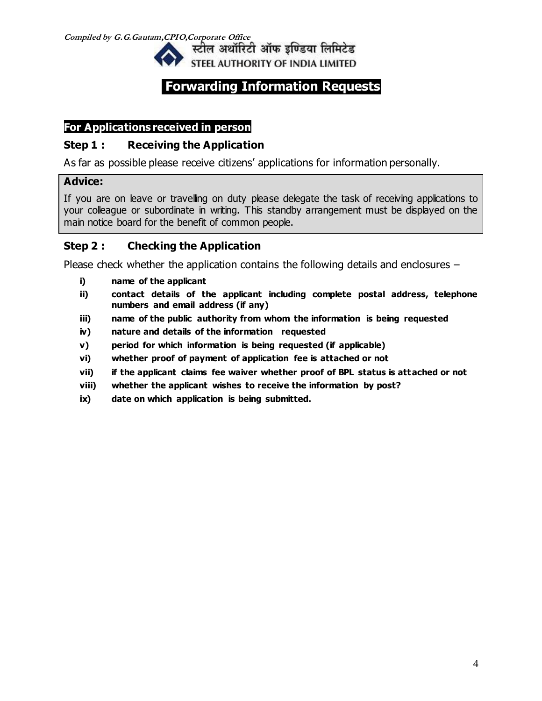

# **Forwarding Information Requests**

# **For Applications received in person**

## **Step 1 : Receiving the Application**

As far as possible please receive citizens' applications for information personally.

## **Advice:**

If you are on leave or travelling on duty please delegate the task of receiving applications to your colleague or subordinate in writing. This standby arrangement must be displayed on the main notice board for the benefit of common people.

# **Step 2 : Checking the Application**

Please check whether the application contains the following details and enclosures –

- **i) name of the applicant**
- **ii) contact details of the applicant including complete postal address, telephone numbers and email address (if any)**
- **iii) name of the public authority from whom the information is being requested**
- **iv) nature and details of the information requested**
- **v) period for which information is being requested (if applicable)**
- **vi) whether proof of payment of application fee is attached or not**
- **vii) if the applicant claims fee waiver whether proof of BPL status is attached or not**
- **viii) whether the applicant wishes to receive the information by post?**
- **ix) date on which application is being submitted.**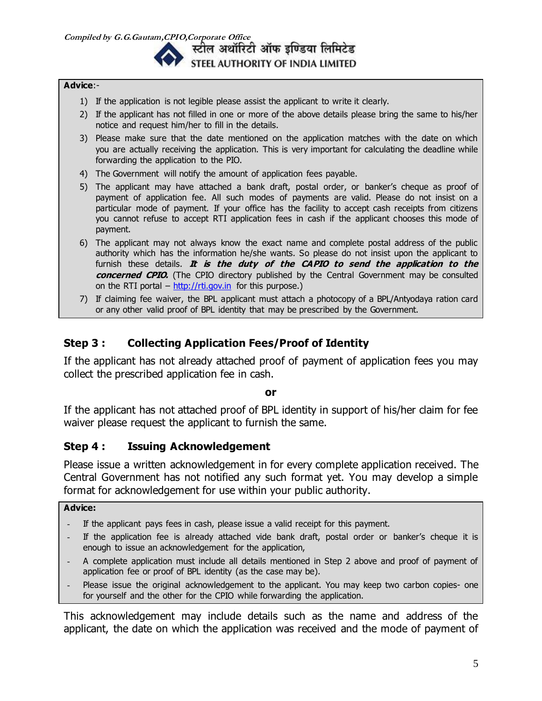स्टील अथॉरिटी ऑफ इण्डिया लिमिटेड STEEL AUTHORITY OF INDIA LIMITED

#### **Advice**:-

- 1) If the application is not legible please assist the applicant to write it clearly.
- 2) If the applicant has not filled in one or more of the above details please bring the same to his/her notice and request him/her to fill in the details.
- 3) Please make sure that the date mentioned on the application matches with the date on which you are actually receiving the application. This is very important for calculating the deadline while forwarding the application to the PIO.
- 4) The Government will notify the amount of application fees payable.
- 5) The applicant may have attached a bank draft, postal order, or banker's cheque as proof of payment of application fee. All such modes of payments are valid. Please do not insist on a particular mode of payment. If your office has the facility to accept cash receipts from citizens you cannot refuse to accept RTI application fees in cash if the applicant chooses this mode of payment.
- 6) The applicant may not always know the exact name and complete postal address of the public authority which has the information he/she wants. So please do not insist upon the applicant to furnish these details. **It is the duty of the CAPIO to send the application to the concerned CPIO.** (The CPIO directory published by the Central Government may be consulted on the RTI portal –  $\frac{http://rti.gov.in}{http://rti.gov.in}$  $\frac{http://rti.gov.in}{http://rti.gov.in}$  $\frac{http://rti.gov.in}{http://rti.gov.in}$  for this purpose.)
- 7) If claiming fee waiver, the BPL applicant must attach a photocopy of a BPL/Antyodaya ration card or any other valid proof of BPL identity that may be prescribed by the Government.

# **Step 3 : Collecting Application Fees/Proof of Identity**

If the applicant has not already attached proof of payment of application fees you may collect the prescribed application fee in cash.

#### **or**

If the applicant has not attached proof of BPL identity in support of his/her claim for fee waiver please request the applicant to furnish the same.

### **Step 4 : Issuing Acknowledgement**

Please issue a written acknowledgement in for every complete application received. The Central Government has not notified any such format yet. You may develop a simple format for acknowledgement for use within your public authority.

#### **Advice:**

- If the applicant pays fees in cash, please issue a valid receipt for this payment.
- If the application fee is already attached vide bank draft, postal order or banker's cheque it is enough to issue an acknowledgement for the application,
- A complete application must include all details mentioned in Step 2 above and proof of payment of application fee or proof of BPL identity (as the case may be).
- Please issue the original acknowledgement to the applicant. You may keep two carbon copies- one for yourself and the other for the CPIO while forwarding the application.

This acknowledgement may include details such as the name and address of the applicant, the date on which the application was received and the mode of payment of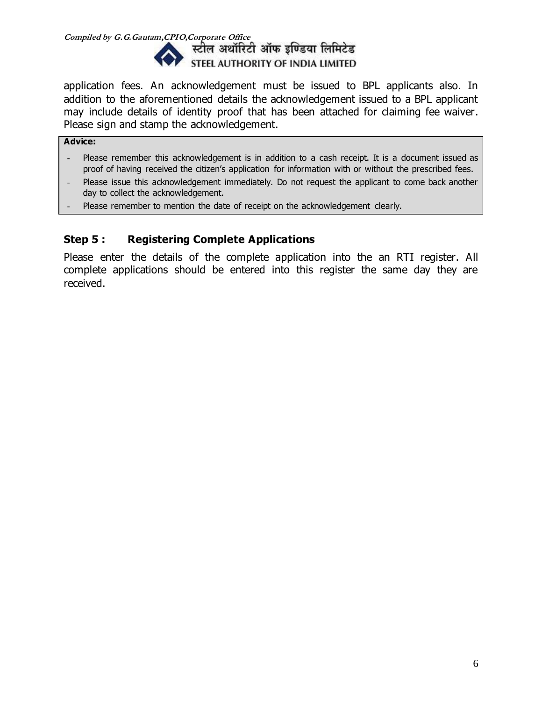

application fees. An acknowledgement must be issued to BPL applicants also. In addition to the aforementioned details the acknowledgement issued to a BPL applicant may include details of identity proof that has been attached for claiming fee waiver. Please sign and stamp the acknowledgement.

### **Advice:**

- Please remember this acknowledgement is in addition to a cash receipt. It is a document issued as proof of having received the citizen's application for information with or without the prescribed fees.
- Please issue this acknowledgement immediately. Do not request the applicant to come back another day to collect the acknowledgement.
- Please remember to mention the date of receipt on the acknowledgement clearly.

## **Step 5 : Registering Complete Applications**

Please enter the details of the complete application into the an RTI register. All complete applications should be entered into this register the same day they are received.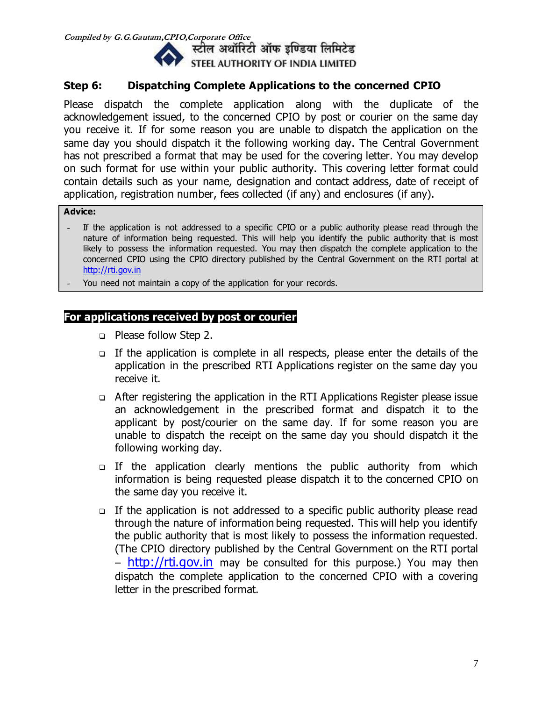

## **Step 6: Dispatching Complete Applications to the concerned CPIO**

Please dispatch the complete application along with the duplicate of the acknowledgement issued, to the concerned CPIO by post or courier on the same day you receive it. If for some reason you are unable to dispatch the application on the same day you should dispatch it the following working day. The Central Government has not prescribed a format that may be used for the covering letter. You may develop on such format for use within your public authority. This covering letter format could contain details such as your name, designation and contact address, date of receipt of application, registration number, fees collected (if any) and enclosures (if any).

#### **Advice:**

- If the application is not addressed to a specific CPIO or a public authority please read through the nature of information being requested. This will help you identify the public authority that is most likely to possess the information requested. You may then dispatch the complete application to the concerned CPIO using the CPIO directory published by the Central Government on the RTI portal at [http://rti.gov.in](http://rti.gov.in/)
- You need not maintain a copy of the application for your records.

## **For applications received by post or courier**

- □ Please follow Step 2.
- If the application is complete in all respects, please enter the details of the application in the prescribed RTI Applications register on the same day you receive it.
- After registering the application in the RTI Applications Register please issue an acknowledgement in the prescribed format and dispatch it to the applicant by post/courier on the same day. If for some reason you are unable to dispatch the receipt on the same day you should dispatch it the following working day.
- $\Box$  If the application clearly mentions the public authority from which information is being requested please dispatch it to the concerned CPIO on the same day you receive it.
- $\Box$  If the application is not addressed to a specific public authority please read through the nature of information being requested. This will help you identify the public authority that is most likely to possess the information requested. (The CPIO directory published by the Central Government on the RTI portal – [http://rti.gov.in](http://rti.gov.in/) may be consulted for this purpose.) You may then dispatch the complete application to the concerned CPIO with a covering letter in the prescribed format.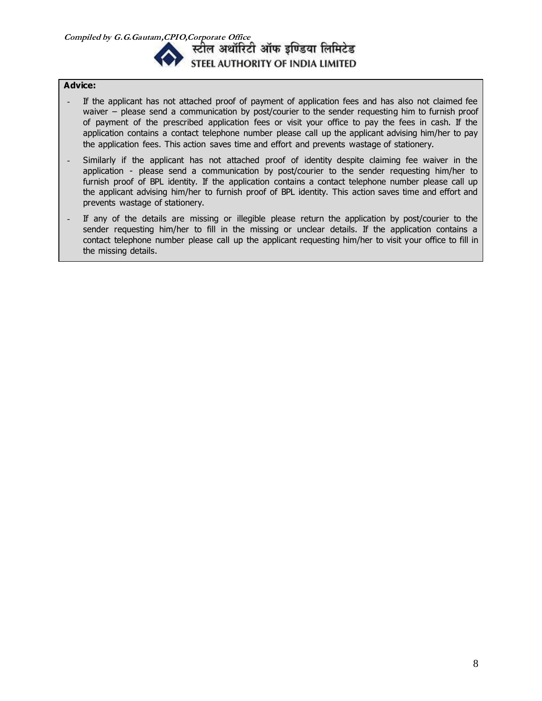

#### **Advice:**

- If the applicant has not attached proof of payment of application fees and has also not claimed fee waiver – please send a communication by post/courier to the sender requesting him to furnish proof of payment of the prescribed application fees or visit your office to pay the fees in cash. If the application contains a contact telephone number please call up the applicant advising him/her to pay the application fees. This action saves time and effort and prevents wastage of stationery.
- Similarly if the applicant has not attached proof of identity despite claiming fee waiver in the application - please send a communication by post/courier to the sender requesting him/her to furnish proof of BPL identity. If the application contains a contact telephone number please call up the applicant advising him/her to furnish proof of BPL identity. This action saves time and effort and prevents wastage of stationery.
- If any of the details are missing or illegible please return the application by post/courier to the sender requesting him/her to fill in the missing or unclear details. If the application contains a contact telephone number please call up the applicant requesting him/her to visit your office to fill in the missing details.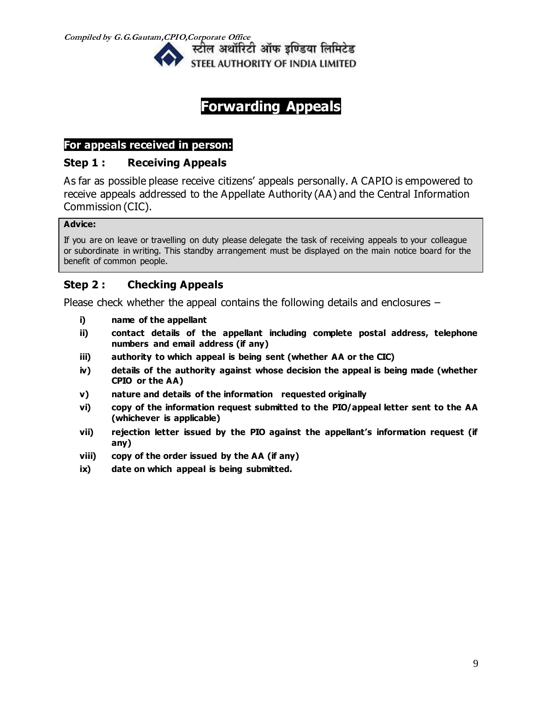**Compiled by G.G.Gautam,CPIO,Corporate Office** 

स्टील अथॉरिटी ऑफ इण्डिया लिमिटेड STEEL AUTHORITY OF INDIA LIMITED

# **Forwarding Appeals**

## **For appeals received in person:**

# **Step 1 : Receiving Appeals**

As far as possible please receive citizens' appeals personally. A CAPIO is empowered to receive appeals addressed to the Appellate Authority (AA) and the Central Information Commission (CIC).

### **Advice:**

If you are on leave or travelling on duty please delegate the task of receiving appeals to your colleague or subordinate in writing. This standby arrangement must be displayed on the main notice board for the benefit of common people.

# **Step 2 : Checking Appeals**

Please check whether the appeal contains the following details and enclosures –

- **i) name of the appellant**
- **ii) contact details of the appellant including complete postal address, telephone numbers and email address (if any)**
- **iii) authority to which appeal is being sent (whether AA or the CIC)**
- **iv) details of the authority against whose decision the appeal is being made (whether CPIO or the AA)**
- **v) nature and details of the information requested originally**
- **vi) copy of the information request submitted to the PIO/appeal letter sent to the AA (whichever is applicable)**
- **vii) rejection letter issued by the PIO against the appellant's information request (if any)**
- **viii) copy of the order issued by the AA (if any)**
- **ix) date on which appeal is being submitted.**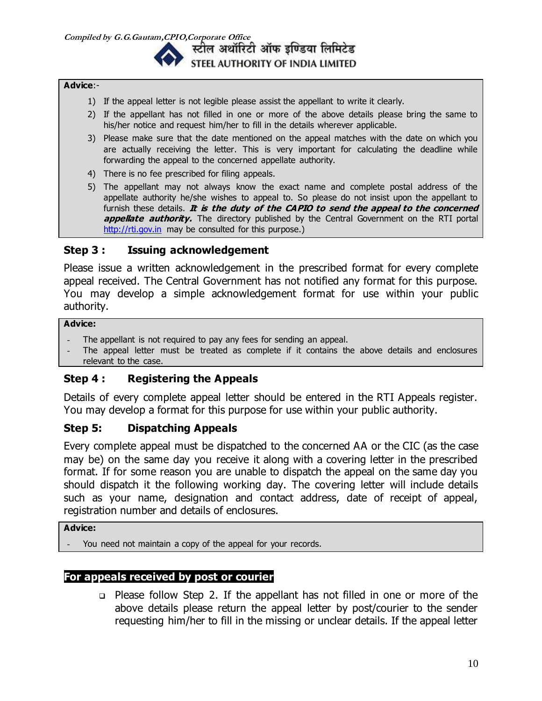स्टील अथॉरिटी ऑफ इण्डिया लिमिटेड STEEL AUTHORITY OF INDIA LIMITED

#### **Advice**:-

- 1) If the appeal letter is not legible please assist the appellant to write it clearly.
- 2) If the appellant has not filled in one or more of the above details please bring the same to his/her notice and request him/her to fill in the details wherever applicable.
- 3) Please make sure that the date mentioned on the appeal matches with the date on which you are actually receiving the letter. This is very important for calculating the deadline while forwarding the appeal to the concerned appellate authority.
- 4) There is no fee prescribed for filing appeals.
- 5) The appellant may not always know the exact name and complete postal address of the appellate authority he/she wishes to appeal to. So please do not insist upon the appellant to furnish these details. It is the duty of the CAPIO to send the appeal to the concerned **appellate authority.** The directory published by the Central Government on the RTI portal [http://rti.gov.in](http://rti.gov.in/) may be consulted for this purpose.)

### **Step 3 : Issuing acknowledgement**

Please issue a written acknowledgement in the prescribed format for every complete appeal received. The Central Government has not notified any format for this purpose. You may develop a simple acknowledgement format for use within your public authority.

#### **Advice:**

- The appellant is not required to pay any fees for sending an appeal.
- The appeal letter must be treated as complete if it contains the above details and enclosures relevant to the case.

## **Step 4 : Registering the Appeals**

Details of every complete appeal letter should be entered in the RTI Appeals register. You may develop a format for this purpose for use within your public authority.

### **Step 5: Dispatching Appeals**

Every complete appeal must be dispatched to the concerned AA or the CIC (as the case may be) on the same day you receive it along with a covering letter in the prescribed format. If for some reason you are unable to dispatch the appeal on the same day you should dispatch it the following working day. The covering letter will include details such as your name, designation and contact address, date of receipt of appeal, registration number and details of enclosures.

### **Advice:**

You need not maintain a copy of the appeal for your records.

### **For appeals received by post or courier**

 Please follow Step 2. If the appellant has not filled in one or more of the above details please return the appeal letter by post/courier to the sender requesting him/her to fill in the missing or unclear details. If the appeal letter